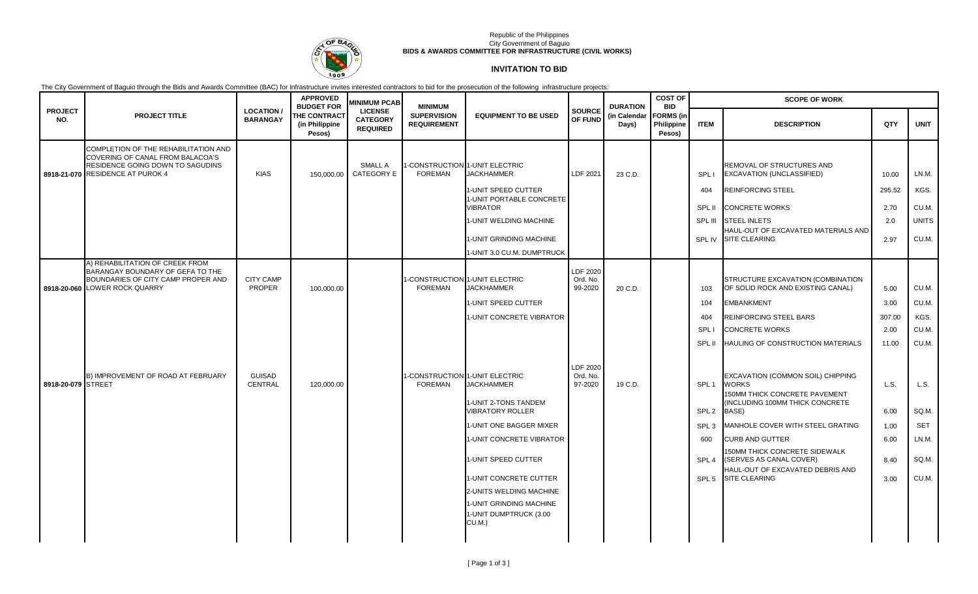

### Republic of the Philippines City Government of Baguio **BIDS & AWARDS COMMITTEE FOR INFRASTRUCTURE (CIVIL WORKS)**

# **INVITATION TO BID**

The City Government of Baguio through the Bids and Awards Committee (BAC) for Infrastructure invites interested contractors to bid for the prosecution of the following infrastructure projects:

|                       |                                                                                                                                            |                                    | <b>APPROVED</b><br><b>BUDGET FOR</b>            | <b>MINIMUM PCAB</b>                                  | <b>MINIMUM</b>                           |                                                                             |                                 | <b>DURATION</b>       | <b>COST OF</b><br><b>BID</b><br><b>FORMS</b> (in<br>Philippine<br>Pesos) | <b>SCOPE OF WORK</b> |                                                                                                                       |        |              |  |
|-----------------------|--------------------------------------------------------------------------------------------------------------------------------------------|------------------------------------|-------------------------------------------------|------------------------------------------------------|------------------------------------------|-----------------------------------------------------------------------------|---------------------------------|-----------------------|--------------------------------------------------------------------------|----------------------|-----------------------------------------------------------------------------------------------------------------------|--------|--------------|--|
| <b>PROJECT</b><br>NO. | <b>PROJECT TITLE</b>                                                                                                                       | <b>LOCATION</b><br><b>BARANGAY</b> | <b>THE CONTRACT</b><br>(in Philippine<br>Pesos) | <b>LICENSE</b><br><b>CATEGORY</b><br><b>REQUIRED</b> | <b>SUPERVISION</b><br><b>REQUIREMENT</b> | <b>EQUIPMENT TO BE USED</b>                                                 | <b>SOURCE</b><br>OF FUND        | (in Calendar<br>Days) |                                                                          | <b>ITEM</b>          | <b>DESCRIPTION</b>                                                                                                    | QTY    | <b>UNIT</b>  |  |
|                       | COMPLETION OF THE REHABILITATION AND<br>COVERING OF CANAL FROM BALACOA'S<br>RESIDENCE GOING DOWN TO SAGUDINS                               |                                    |                                                 | <b>SMALL A</b>                                       |                                          | -CONSTRUCTION 1-UNIT ELECTRIC                                               |                                 |                       |                                                                          |                      | REMOVAL OF STRUCTURES AND                                                                                             |        |              |  |
|                       | 8918-21-070 RESIDENCE AT PUROK 4                                                                                                           | <b>KIAS</b>                        | 150,000.00                                      | <b>CATEGORY E</b>                                    | <b>FOREMAN</b>                           | <b>JACKHAMMER</b>                                                           | LDF 2021                        | 23 C.D.               |                                                                          | SPL I                | EXCAVATION (UNCLASSIFIED)                                                                                             | 10.00  | LN.M.        |  |
|                       |                                                                                                                                            |                                    |                                                 |                                                      |                                          | 1-UNIT SPEED CUTTER<br>1-UNIT PORTABLE CONCRETE                             |                                 |                       |                                                                          | 404                  | <b>REINFORCING STEEL</b>                                                                                              | 295.52 | KGS.         |  |
|                       |                                                                                                                                            |                                    |                                                 |                                                      |                                          | <b>VIBRATOR</b>                                                             |                                 |                       |                                                                          | SPL II               | <b>CONCRETE WORKS</b>                                                                                                 | 2.70   | CU.M.        |  |
|                       |                                                                                                                                            |                                    |                                                 |                                                      |                                          | 1-UNIT WELDING MACHINE                                                      |                                 |                       |                                                                          | SPL III              | <b>STEEL INLETS</b>                                                                                                   | 2.0    | <b>UNITS</b> |  |
|                       |                                                                                                                                            |                                    |                                                 |                                                      |                                          | 1-UNIT GRINDING MACHINE                                                     |                                 |                       |                                                                          | SPL IV               | HAUL-OUT OF EXCAVATED MATERIALS AND<br><b>SITE CLEARING</b>                                                           | 2.97   | CU.M.        |  |
|                       |                                                                                                                                            |                                    |                                                 |                                                      |                                          | 1-UNIT 3.0 CU.M. DUMPTRUCK                                                  |                                 |                       |                                                                          |                      |                                                                                                                       |        |              |  |
|                       | A) REHABILITATION OF CREEK FROM<br>BARANGAY BOUNDARY OF GEFA TO THE<br>BOUNDARIES OF CITY CAMP PROPER AND<br>8918-20-060 LOWER ROCK QUARRY | <b>CITY CAMP</b><br><b>PROPER</b>  | 100,000.00                                      |                                                      | <b>FOREMAN</b>                           | -CONSTRUCTION 1-UNIT ELECTRIC<br><b>JACKHAMMER</b>                          | LDF 2020<br>Ord. No.<br>99-2020 | 20 C.D.               |                                                                          | 103                  | STRUCTURE EXCAVATION (COMBINATION<br>OF SOLID ROCK AND EXISTING CANAL)                                                | 5.00   | CU.M.        |  |
|                       |                                                                                                                                            |                                    |                                                 |                                                      |                                          | 1-UNIT SPEED CUTTER                                                         |                                 |                       |                                                                          | 104                  | <b>EMBANKMENT</b>                                                                                                     | 3.00   | CU.M.        |  |
|                       |                                                                                                                                            |                                    |                                                 |                                                      |                                          | 1-UNIT CONCRETE VIBRATOR                                                    |                                 |                       |                                                                          | 404                  | <b>REINFORCING STEEL BARS</b>                                                                                         | 307.00 | KGS.         |  |
|                       |                                                                                                                                            |                                    |                                                 |                                                      |                                          |                                                                             |                                 |                       |                                                                          | SPL I                | <b>CONCRETE WORKS</b>                                                                                                 | 2.00   | CU.M.        |  |
|                       |                                                                                                                                            |                                    |                                                 |                                                      |                                          |                                                                             |                                 |                       |                                                                          | SPL II               | HAULING OF CONSTRUCTION MATERIALS                                                                                     | 11.00  | CU.M.        |  |
| 8918-20-079 STREET    | B) IMPROVEMENT OF ROAD AT FEBRUARY                                                                                                         | <b>GUISAD</b><br>CENTRAL           | 120,000.00                                      |                                                      | <b>FOREMAN</b>                           | I-CONSTRUCTION 1-UNIT ELECTRIC<br><b>JACKHAMMER</b><br>1-UNIT 2-TONS TANDEM | LDF 2020<br>Ord. No.<br>97-2020 | 19 C.D.               |                                                                          | SPL <sub>1</sub>     | EXCAVATION (COMMON SOIL) CHIPPING<br><b>WORKS</b><br>150MM THICK CONCRETE PAVEMENT<br>(INCLUDING 100MM THICK CONCRETE | L.S.   | L.S.         |  |
|                       |                                                                                                                                            |                                    |                                                 |                                                      |                                          | <b>VIBRATORY ROLLER</b>                                                     |                                 |                       |                                                                          | SPL <sub>2</sub>     | BASE)                                                                                                                 | 6.00   | SQ.M.        |  |
|                       |                                                                                                                                            |                                    |                                                 |                                                      |                                          | 1-UNIT ONE BAGGER MIXER                                                     |                                 |                       |                                                                          | SPL <sub>3</sub>     | MANHOLE COVER WITH STEEL GRATING                                                                                      | 1.00   | <b>SET</b>   |  |
|                       |                                                                                                                                            |                                    |                                                 |                                                      |                                          | 1-UNIT CONCRETE VIBRATOR                                                    |                                 |                       |                                                                          | 600                  | <b>CURB AND GUTTER</b>                                                                                                | 6.00   | LN.M.        |  |
|                       |                                                                                                                                            |                                    |                                                 |                                                      |                                          | 1-UNIT SPEED CUTTER                                                         |                                 |                       |                                                                          | SPL <sub>4</sub>     | 150MM THICK CONCRETE SIDEWALK<br>(SERVES AS CANAL COVER)                                                              | 8.40   | SQ.M.        |  |
|                       |                                                                                                                                            |                                    |                                                 |                                                      |                                          | 1-UNIT CONCRETE CUTTER                                                      |                                 |                       |                                                                          | SPL <sub>5</sub>     | HAUL-OUT OF EXCAVATED DEBRIS AND<br><b>SITE CLEARING</b>                                                              | 3.00   | CU.M.        |  |
|                       |                                                                                                                                            |                                    |                                                 |                                                      |                                          | 2-UNITS WELDING MACHINE                                                     |                                 |                       |                                                                          |                      |                                                                                                                       |        |              |  |
|                       |                                                                                                                                            |                                    |                                                 |                                                      |                                          | 1-UNIT GRINDING MACHINE<br>1-UNIT DUMPTRUCK (3.00<br>CU.M.)                 |                                 |                       |                                                                          |                      |                                                                                                                       |        |              |  |
|                       |                                                                                                                                            |                                    |                                                 |                                                      |                                          |                                                                             |                                 |                       |                                                                          |                      |                                                                                                                       |        |              |  |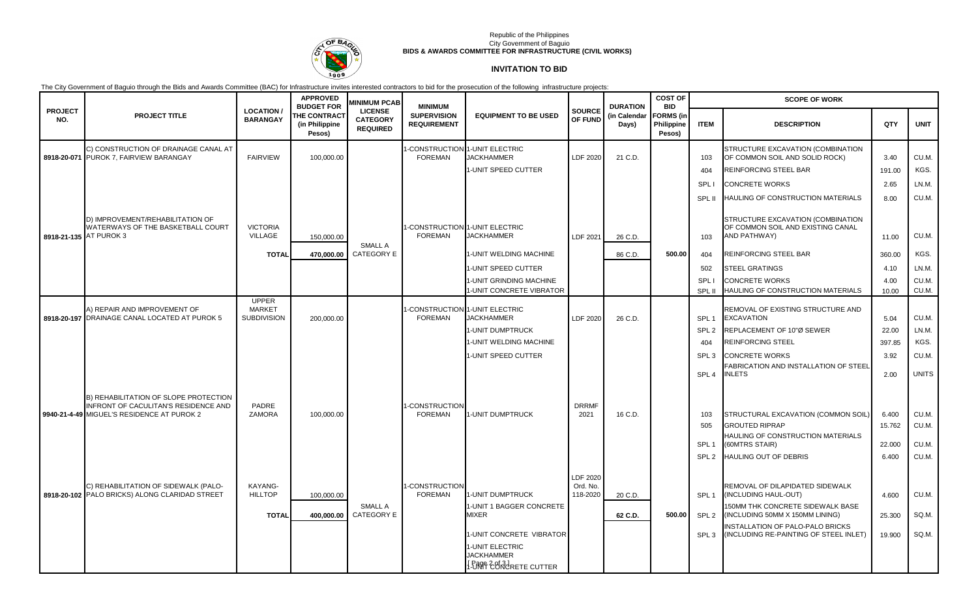

### Republic of the Philippines City Government of Baguio **BIDS & AWARDS COMMITTEE FOR INFRASTRUCTURE (CIVIL WORKS)**

# **INVITATION TO BID**

The City Government of Baguio through the Bids and Awards Committee (BAC) for Infrastructure invites interested contractors to bid for the prosecution of the following infrastructure projects:

|                        |                                                                                                                             |                                      | <b>APPROVED</b><br><b>BUDGET FOR</b>            | <b>MINIMUM PCAB</b>                                  | <b>MINIMUM</b>                                   |                                                                        |                                  | <b>DURATION</b>       | <b>COST OF</b><br><b>BID</b>             | <b>SCOPE OF WORK</b> |                                                                                               |        |              |  |
|------------------------|-----------------------------------------------------------------------------------------------------------------------------|--------------------------------------|-------------------------------------------------|------------------------------------------------------|--------------------------------------------------|------------------------------------------------------------------------|----------------------------------|-----------------------|------------------------------------------|----------------------|-----------------------------------------------------------------------------------------------|--------|--------------|--|
| <b>PROJECT</b><br>NO.  | <b>PROJECT TITLE</b>                                                                                                        | <b>LOCATION /</b><br><b>BARANGAY</b> | <b>THE CONTRACT</b><br>(in Philippine<br>Pesos) | <b>LICENSE</b><br><b>CATEGORY</b><br><b>REQUIRED</b> | <b>SUPERVISION</b><br><b>REQUIREMENT</b>         | <b>EQUIPMENT TO BE USED</b>                                            | <b>SOURCE</b><br>OF FUND         | (in Calendar<br>Days) | <b>FORMS</b> (in<br>Philippine<br>Pesos) | <b>ITEM</b>          | <b>DESCRIPTION</b>                                                                            | QTY    | <b>UNIT</b>  |  |
|                        | C) CONSTRUCTION OF DRAINAGE CANAL AT<br>8918-20-071 PUROK 7, FAIRVIEW BARANGAY                                              | <b>FAIRVIEW</b>                      | 100,000.00                                      |                                                      | -CONSTRUCTION<br><b>FOREMAN</b>                  | 1-UNIT ELECTRIC<br><b>JACKHAMMER</b>                                   | LDF 2020                         | 21 C.D.               |                                          | 103                  | STRUCTURE EXCAVATION (COMBINATION<br>OF COMMON SOIL AND SOLID ROCK)                           | 3.40   | CU.M.        |  |
|                        |                                                                                                                             |                                      |                                                 |                                                      |                                                  | 1-UNIT SPEED CUTTER                                                    |                                  |                       |                                          | 404                  | REINFORCING STEEL BAR                                                                         | 191.00 | KGS.         |  |
|                        |                                                                                                                             |                                      |                                                 |                                                      |                                                  |                                                                        |                                  |                       |                                          | SPL I                | <b>CONCRETE WORKS</b>                                                                         | 2.65   | LN.M.        |  |
|                        |                                                                                                                             |                                      |                                                 |                                                      |                                                  |                                                                        |                                  |                       |                                          | SPL II               | HAULING OF CONSTRUCTION MATERIALS                                                             | 8.00   | CU.M.        |  |
| 8918-21-135 AT PUROK 3 | D) IMPROVEMENT/REHABILITATION OF<br>WATERWAYS OF THE BASKETBALL COURT                                                       | <b>VICTORIA</b><br><b>VILLAGE</b>    | 150,000.00                                      | SMALL A                                              | <b>FOREMAN</b>                                   | -CONSTRUCTION 1-UNIT ELECTRIC<br><b>JACKHAMMER</b>                     | LDF 2021                         | 26 C.D.               |                                          | 103                  | STRUCTURE EXCAVATION (COMBINATION<br>OF COMMON SOIL AND EXISTING CANAL<br><b>AND PATHWAY)</b> | 11.00  | CU.M.        |  |
|                        |                                                                                                                             | <b>TOTAL</b>                         | 470.000.00                                      | <b>CATEGORY E</b>                                    |                                                  | 1-UNIT WELDING MACHINE                                                 |                                  | 86 C.D.               | 500.00                                   | 404                  | <b>REINFORCING STEEL BAR</b>                                                                  | 360.00 | KGS.         |  |
|                        |                                                                                                                             |                                      |                                                 |                                                      |                                                  | 1-UNIT SPEED CUTTER                                                    |                                  |                       |                                          | 502                  | <b>STEEL GRATINGS</b>                                                                         | 4.10   | LN.M.        |  |
|                        |                                                                                                                             |                                      |                                                 |                                                      |                                                  | 1-UNIT GRINDING MACHINE                                                |                                  |                       |                                          | <b>SPL</b>           | CONCRETE WORKS                                                                                | 4.00   | CU.M.        |  |
|                        |                                                                                                                             | <b>UPPER</b>                         |                                                 |                                                      |                                                  | 1-UNIT CONCRETE VIBRATOR                                               |                                  |                       |                                          | SPL II               | HAULING OF CONSTRUCTION MATERIALS                                                             | 10.00  | CU.M.        |  |
|                        | A) REPAIR AND IMPROVEMENT OF<br>8918-20-197 DRAINAGE CANAL LOCATED AT PUROK 5                                               | <b>MARKET</b><br><b>SUBDIVISION</b>  |                                                 |                                                      | 1-CONSTRUCTION 1-UNIT ELECTRIC<br><b>FOREMAN</b> | <b>JACKHAMMER</b>                                                      | LDF 2020                         | 26 C.D.               |                                          | SPL <sub>1</sub>     | REMOVAL OF EXISTING STRUCTURE AND<br><b>EXCAVATION</b>                                        | 5.04   | CU.M.        |  |
|                        |                                                                                                                             |                                      | 200,000.00                                      |                                                      |                                                  | 1-UNIT DUMPTRUCK                                                       |                                  |                       |                                          | SPL <sub>2</sub>     | REPLACEMENT OF 10"Ø SEWER                                                                     | 22.00  | LN.M.        |  |
|                        |                                                                                                                             |                                      |                                                 |                                                      |                                                  | 1-UNIT WELDING MACHINE                                                 |                                  |                       |                                          | 404                  | <b>REINFORCING STEEL</b>                                                                      | 397.85 | KGS.         |  |
|                        |                                                                                                                             |                                      |                                                 |                                                      |                                                  | I-UNIT SPEED CUTTER                                                    |                                  |                       |                                          | SPL <sub>3</sub>     | <b>CONCRETE WORKS</b>                                                                         | 3.92   | CU.M.        |  |
|                        |                                                                                                                             |                                      |                                                 |                                                      |                                                  |                                                                        |                                  |                       |                                          | SPL <sub>4</sub>     | <b>FABRICATION AND INSTALLATION OF STEEL</b><br><b>INLETS</b>                                 | 2.00   | <b>UNITS</b> |  |
|                        | B) REHABILITATION OF SLOPE PROTECTION<br>INFRONT OF CACULITAN'S RESIDENCE AND<br>9940-21-4-49 MIGUEL'S RESIDENCE AT PUROK 2 | PADRE<br><b>ZAMORA</b>               | 100,000.00                                      |                                                      | -CONSTRUCTION<br><b>FOREMAN</b>                  | <b>I-UNIT DUMPTRUCK</b>                                                | <b>DRRMF</b><br>2021             | 16 C.D.               |                                          | 103                  | STRUCTURAL EXCAVATION (COMMON SOIL)                                                           | 6.400  | CU.M.        |  |
|                        |                                                                                                                             |                                      |                                                 |                                                      |                                                  |                                                                        |                                  |                       |                                          | 505                  | <b>GROUTED RIPRAP</b>                                                                         | 15.762 | CU.M.        |  |
|                        |                                                                                                                             |                                      |                                                 |                                                      |                                                  |                                                                        |                                  |                       |                                          |                      | HAULING OF CONSTRUCTION MATERIALS                                                             |        |              |  |
|                        |                                                                                                                             |                                      |                                                 |                                                      |                                                  |                                                                        |                                  |                       |                                          | SPL <sub>1</sub>     | (60MTRS STAIR)                                                                                | 22.000 | CU.M.        |  |
|                        |                                                                                                                             |                                      |                                                 |                                                      |                                                  |                                                                        |                                  |                       |                                          | SPL <sub>2</sub>     | HAULING OUT OF DEBRIS                                                                         | 6.400  | CU.M.        |  |
|                        | C) REHABILITATION OF SIDEWALK (PALO-<br>8918-20-102 PALO BRICKS) ALONG CLARIDAD STREET                                      | KAYANG-<br><b>HILLTOP</b>            | 100,000.00                                      |                                                      | -CONSTRUCTION<br><b>FOREMAN</b>                  | 1-UNIT DUMPTRUCK                                                       | LDF 2020<br>Ord. No.<br>118-2020 | 20 C.D.               |                                          | SPL <sub>1</sub>     | REMOVAL OF DILAPIDATED SIDEWALK<br>(INCLUDING HAUL-OUT)                                       | 4.600  | CU.M.        |  |
|                        |                                                                                                                             | <b>TOTAL</b>                         | 400,000.00                                      | SMALL A<br><b>CATEGORY E</b>                         |                                                  | 1-UNIT 1 BAGGER CONCRETE<br><b>MIXER</b>                               |                                  | 62 C.D.               | 500.00                                   | SPL <sub>2</sub>     | 150MM THK CONCRETE SIDEWALK BASE<br>(INCLUDING 50MM X 150MM LINING)                           | 25.300 | SQ.M.        |  |
|                        |                                                                                                                             |                                      |                                                 |                                                      |                                                  | 1-UNIT CONCRETE VIBRATOR                                               |                                  |                       |                                          | SPL <sub>3</sub>     | <b>INSTALLATION OF PALO-PALO BRICKS</b><br>(INCLUDING RE-PAINTING OF STEEL INLET)             | 19.900 | SQ.M.        |  |
|                        |                                                                                                                             |                                      |                                                 |                                                      |                                                  | 1-UNIT ELECTRIC<br><b>JACKHAMMER</b><br><b>I DAY'T CONCRETE CUTTER</b> |                                  |                       |                                          |                      |                                                                                               |        |              |  |